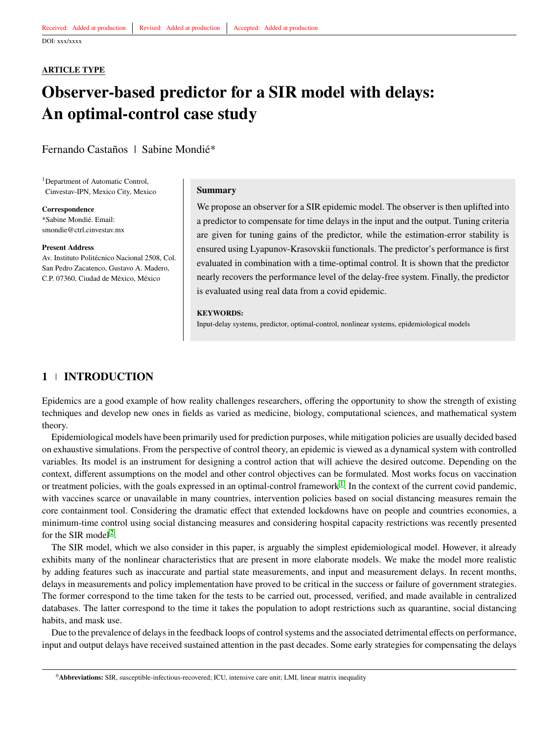#### <span id="page-0-0"></span>**ARTICLE TYPE**

# **Observer-based predictor for a SIR model with delays: An optimal-control case study**

Fernando Castaños | Sabine Mondié\*

<sup>1</sup>Department of Automatic Control, Cinvestav-IPN, Mexico City, Mexico

**Correspondence** \*Sabine Mondié. Email: smondie@ctrl.cinvestav.mx

#### **Present Address**

Av. Instituto Politécnico Nacional 2508, Col. San Pedro Zacatenco, Gustavo A. Madero, C.P. 07360, Ciudad de México, México

#### **Summary**

We propose an observer for a SIR epidemic model. The observer is then uplifted into a predictor to compensate for time delays in the input and the output. Tuning criteria are given for tuning gains of the predictor, while the estimation-error stability is ensured using Lyapunov-Krasovskii functionals. The predictor's performance is first evaluated in combination with a time-optimal control. It is shown that the predictor nearly recovers the performance level of the delay-free system. Finally, the predictor is evaluated using real data from a covid epidemic.

#### **KEYWORDS:**

Input-delay systems, predictor, optimal-control, nonlinear systems, epidemiological models

## **1 INTRODUCTION**

Epidemics are a good example of how reality challenges researchers, offering the opportunity to show the strength of existing techniques and develop new ones in fields as varied as medicine, biology, computational sciences, and mathematical system theory.

Epidemiological models have been primarily used for prediction purposes, while mitigation policies are usually decided based on exhaustive simulations. From the perspective of control theory, an epidemic is viewed as a dynamical system with controlled variables. Its model is an instrument for designing a control action that will achieve the desired outcome. Depending on the context, different assumptions on the model and other control objectives can be formulated. Most works focus on vaccination or treatment policies, with the goals expressed in an optimal-control framework<sup>[1](#page-13-0)</sup>. In the context of the current covid pandemic, with vaccines scarce or unavailable in many countries, intervention policies based on social distancing measures remain the core containment tool. Considering the dramatic effect that extended lockdowns have on people and countries economies, a minimum-time control using social distancing measures and considering hospital capacity restrictions was recently presented for the SIR model<sup>[2](#page-13-1)</sup>.

The SIR model, which we also consider in this paper, is arguably the simplest epidemiological model. However, it already exhibits many of the nonlinear characteristics that are present in more elaborate models. We make the model more realistic by adding features such as inaccurate and partial state measurements, and input and measurement delays. In recent months, delays in measurements and policy implementation have proved to be critical in the success or failure of government strategies. The former correspond to the time taken for the tests to be carried out, processed, verified, and made available in centralized databases. The latter correspond to the time it takes the population to adopt restrictions such as quarantine, social distancing habits, and mask use.

Due to the prevalence of delays in the feedback loops of control systems and the associated detrimental effects on performance, input and output delays have received sustained attention in the past decades. Some early strategies for compensating the delays

<sup>0</sup>**Abbreviations:** SIR, susceptible-infectious-recovered; ICU, intensive care unit; LMI, linear matrix inequality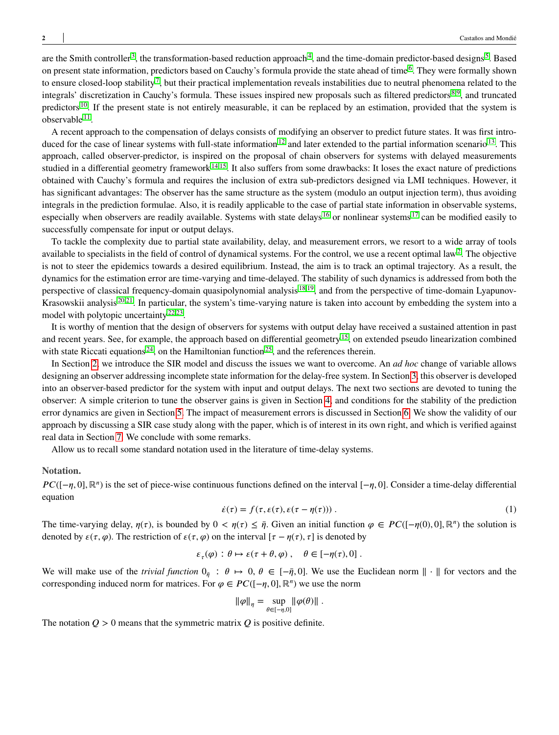are the Smith controller<sup>[3](#page-13-2)</sup>, the transformation-based reduction approach<sup>[4](#page-13-3)</sup>, and the time-domain predictor-based designs<sup>[5](#page-13-4)</sup>. Based on present state information, predictors based on Cauchy's formula provide the state ahead of time<sup>[6](#page-13-5)</sup>. They were formally shown to ensure closed-loop stability<sup>[7](#page-13-6)</sup>, but their practical implementation reveals instabilities due to neutral phenomena related to the integrals' discretization in Cauchy's formula. These issues inspired new proposals such as filtered predictors [8,](#page-13-7)[9](#page-13-8), and truncated predictors <sup>[10](#page-13-9)</sup>. If the present state is not entirely measurable, it can be replaced by an estimation, provided that the system is observable <sup>[11](#page-13-10)</sup>.

A recent approach to the compensation of delays consists of modifying an observer to predict future states. It was first intro-duced for the case of linear systems with full-state information<sup>[12](#page-13-11)</sup> and later extended to the partial information scenario<sup>[13](#page-13-12)</sup>. This approach, called observer-predictor, is inspired on the proposal of chain observers for systems with delayed measurements studied in a differential geometry framework<sup>[14](#page-13-13)[,15](#page-13-14)</sup>. It also suffers from some drawbacks: It loses the exact nature of predictions obtained with Cauchy's formula and requires the inclusion of extra sub-predictors designed via LMI techniques. However, it has significant advantages: The observer has the same structure as the system (modulo an output injection term), thus avoiding integrals in the prediction formulae. Also, it is readily applicable to the case of partial state information in observable systems, especially when observers are readily available. Systems with state delays <sup>[16](#page-13-15)</sup> or nonlinear systems  $17$  can be modified easily to successfully compensate for input or output delays.

To tackle the complexity due to partial state availability, delay, and measurement errors, we resort to a wide array of tools available to specialists in the field of control of dynamical systems. For the control, we use a recent optimal law<sup>[2](#page-13-1)</sup>. The objective is not to steer the epidemics towards a desired equilibrium. Instead, the aim is to track an optimal trajectory. As a result, the dynamics for the estimation error are time-varying and time-delayed. The stability of such dynamics is addressed from both the perspective of classical frequency-domain quasipolynomial analysis [18](#page-14-0)[,19](#page-14-1), and from the perspective of time-domain Lyapunov-Krasowskii analysis [20,](#page-14-2)[21](#page-14-3). In particular, the system's time-varying nature is taken into account by embedding the system into a model with polytopic uncertainty  $22,23$  $22,23$ .

It is worthy of mention that the design of observers for systems with output delay have received a sustained attention in past and recent years. See, for example, the approach based on differential geometry<sup>[15](#page-13-14)</sup>, on extended pseudo linearization combined with state Riccati equations  $24$ , on the Hamiltonian function  $25$ , and the references therein.

In Section [2,](#page-2-0) we introduce the SIR model and discuss the issues we want to overcome. An *ad hoc* change of variable allows designing an observer addressing incomplete state information for the delay-free system. In Section [3,](#page-3-0) this observer is developed into an observer-based predictor for the system with input and output delays. The next two sections are devoted to tuning the observer: A simple criterion to tune the observer gains is given in Section [4,](#page-7-0) and conditions for the stability of the prediction error dynamics are given in Section [5.](#page-8-0) The impact of measurement errors is discussed in Section [6.](#page-11-0) We show the validity of our approach by discussing a SIR case study along with the paper, which is of interest in its own right, and which is verified against real data in Section [7.](#page-11-1) We conclude with some remarks.

Allow us to recall some standard notation used in the literature of time-delay systems.

#### **Notation.**

 $PC([-η, 0], \mathbb{R}^n)$  is the set of piece-wise continuous functions defined on the interval  $[-η, 0]$ . Consider a time-delay differential equation

$$
\dot{\varepsilon}(\tau) = f(\tau, \varepsilon(\tau), \varepsilon(\tau - \eta(\tau)))\,. \tag{1}
$$

The time-varying delay,  $\eta(\tau)$ , is bounded by  $0 < \eta(\tau) \leq \bar{\eta}$ . Given an initial function  $\varphi \in PC([-\eta(0), 0], \mathbb{R}^n)$  the solution is denoted by  $\varepsilon(\tau, \varphi)$ . The restriction of  $\varepsilon(\tau, \varphi)$  on the interval  $[\tau - \eta(\tau), \tau]$  is denoted by

$$
\varepsilon_{\tau}(\varphi) : \theta \mapsto \varepsilon(\tau + \theta, \varphi) , \quad \theta \in [-\eta(\tau), 0] .
$$

We will make use of the *trivial function*  $0_{\bar{n}}$  :  $\theta \mapsto 0$ ,  $\theta \in [-\bar{\eta}, 0]$ . We use the Euclidean norm  $\|\cdot\|$  for vectors and the corresponding induced norm for matrices. For  $\varphi \in PC([-\eta, 0], \mathbb{R}^n)$  we use the norm

$$
\|\varphi\|_{\eta} = \sup_{\theta \in [-\eta,0]} \|\varphi(\theta)\|.
$$

The notation  $Q > 0$  means that the symmetric matrix  $Q$  is positive definite.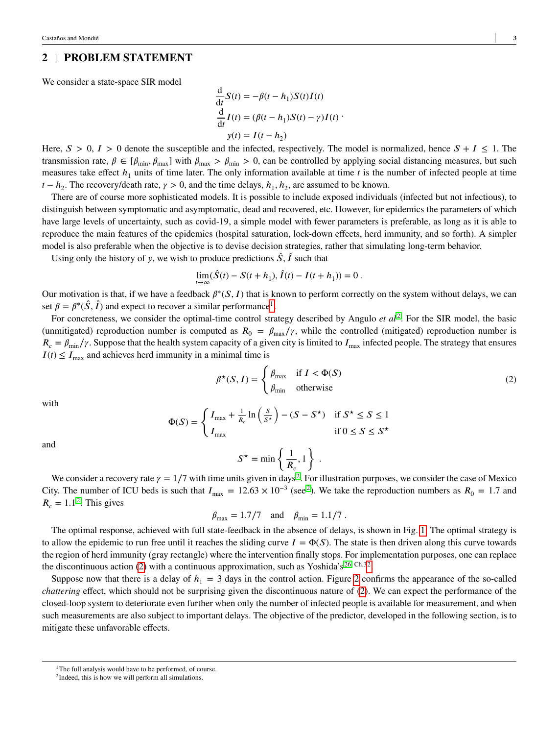# <span id="page-2-0"></span>**2 PROBLEM STATEMENT**

We consider a state-space SIR model

$$
\frac{d}{dt}S(t) = -\beta(t - h_1)S(t)I(t)
$$
  

$$
\frac{d}{dt}I(t) = (\beta(t - h_1)S(t) - \gamma)I(t)
$$
  

$$
y(t) = I(t - h_2)
$$

Here,  $S > 0$ ,  $I > 0$  denote the susceptible and the infected, respectively. The model is normalized, hence  $S + I \leq 1$ . The transmission rate,  $\beta \in [\beta_{\min}, \beta_{\max}]$  with  $\beta_{\max} > \beta_{\min} > 0$ , can be controlled by applying social distancing measures, but such measures take effect  $h_1$  units of time later. The only information available at time  $t$  is the number of infected people at time  $t - h_2$ . The recovery/death rate,  $\gamma > 0$ , and the time delays,  $h_1, h_2$ , are assumed to be known.

There are of course more sophisticated models. It is possible to include exposed individuals (infected but not infectious), to distinguish between symptomatic and asymptomatic, dead and recovered, etc. However, for epidemics the parameters of which have large levels of uncertainty, such as covid-19, a simple model with fewer parameters is preferable, as long as it is able to reproduce the main features of the epidemics (hospital saturation, lock-down effects, herd immunity, and so forth). A simpler model is also preferable when the objective is to devise decision strategies, rather that simulating long-term behavior.

Using only the history of *y*, we wish to produce predictions  $\hat{S}$ ,  $\hat{I}$  such that

$$
\lim_{t \to \infty} (\hat{S}(t) - S(t + h_1), \hat{I}(t) - I(t + h_1)) = 0.
$$

Our motivation is that, if we have a feedback  $\beta^*(S, I)$  that is known to perform correctly on the system without delays, we can set  $\beta = \beta^*(\hat{S}, \hat{I})$  and expect to recover a similar performance<sup>[1](#page-0-0)</sup>.

For concreteness, we consider the optimal-time control strategy described by Angulo *et al*<sup>[2](#page-13-1)</sup>. For the SIR model, the basic (unmitigated) reproduction number is computed as  $R_0 = \beta_{\text{max}}/\gamma$ , while the controlled (mitigated) reproduction number is  $R_c = \beta_{\text{min}}/ \gamma$ . Suppose that the health system capacity of a given city is limited to  $I_{\text{max}}$  infected people. The strategy that ensures  $I(t) \leq I_{\text{max}}$  and achieves herd immunity in a minimal time is

<span id="page-2-1"></span>
$$
\beta^{\star}(S, I) = \begin{cases} \beta_{\text{max}} & \text{if } I < \Phi(S) \\ \beta_{\text{min}} & \text{otherwise} \end{cases}
$$
 (2)

with

$$
\Phi(S) = \begin{cases} I_{\text{max}} + \frac{1}{R_c} \ln \left( \frac{S}{S^*} \right) - (S - S^*) & \text{if } S^* \le S \le 1 \\ I_{\text{max}} & \text{if } 0 \le S \le S^* \end{cases}
$$

and

$$
S^{\star} = \min \left\{ \frac{1}{R_c}, 1 \right\} .
$$

We consider a recovery rate  $\gamma = 1/7$  with time units given in days<sup>[2](#page-13-1)</sup>. For illustration purposes, we consider the case of Mexico City. The number of ICU beds is such that  $I_{\text{max}} = 12.63 \times 10^{-3}$  $I_{\text{max}} = 12.63 \times 10^{-3}$  $I_{\text{max}} = 12.63 \times 10^{-3}$  (see<sup>2</sup>). We take the reproduction numbers as  $R_0 = 1.7$  and  $R_c = 1.1^2$  $R_c = 1.1^2$ . This gives

$$
\beta_{\text{max}} = 1.7/7
$$
 and  $\beta_{\text{min}} = 1.1/7$ .

The optimal response, achieved with full state-feedback in the absence of delays, is shown in Fig. [1.](#page-3-1) The optimal strategy is to allow the epidemic to run free until it reaches the sliding curve  $I = \Phi(S)$ . The state is then driven along this curve towards the region of herd immunity (gray rectangle) where the intervention finally stops. For implementation purposes, one can replace the discontinuous action [\(2\)](#page-2-1) with a continuous approximation, such as Yoshida's  $26$ , Ch.[32](#page-0-0).

Suppose now that there is a delay of  $h_1 = 3$  days in the control action. Figure [2](#page-3-2) confirms the appearance of the so-called *chattering* effect, which should not be surprising given the discontinuous nature of [\(2\)](#page-2-1). We can expect the performance of the closed-loop system to deteriorate even further when only the number of infected people is available for measurement, and when such measurements are also subject to important delays. The objective of the predictor, developed in the following section, is to mitigate these unfavorable effects.

<sup>&</sup>lt;sup>1</sup>The full analysis would have to be performed, of course.

<sup>2</sup> Indeed, this is how we will perform all simulations.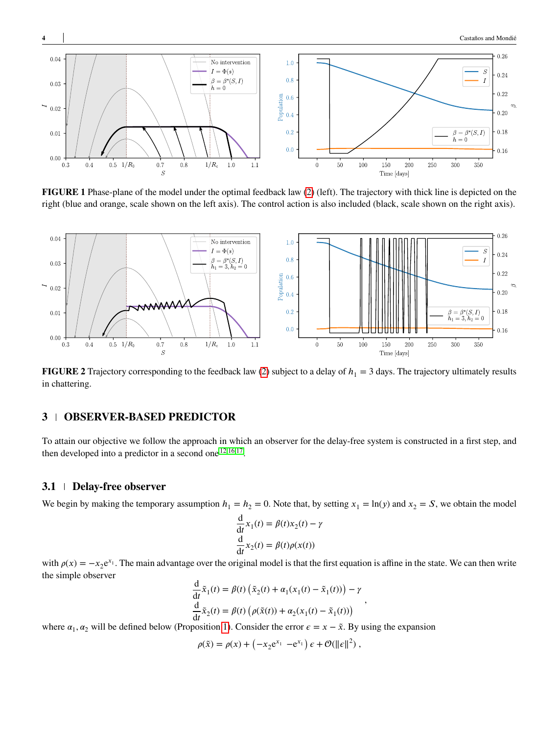<span id="page-3-1"></span>

**FIGURE 1** Phase-plane of the model under the optimal feedback law [\(2\)](#page-2-1) (left). The trajectory with thick line is depicted on the right (blue and orange, scale shown on the left axis). The control action is also included (black, scale shown on the right axis).

<span id="page-3-2"></span>

**FIGURE 2** Trajectory corresponding to the feedback law [\(2\)](#page-2-1) subject to a delay of  $h_1 = 3$  days. The trajectory ultimately results in chattering.

## <span id="page-3-0"></span>**3 OBSERVER-BASED PREDICTOR**

To attain our objective we follow the approach in which an observer for the delay-free system is constructed in a first step, and then developed into a predictor in a second one  $12,16,17$  $12,16,17$  $12,16,17$ .

## **3.1 Delay-free observer**

We begin by making the temporary assumption  $h_1 = h_2 = 0$ . Note that, by setting  $x_1 = \ln(y)$  and  $x_2 = S$ , we obtain the model

$$
\frac{d}{dt}x_1(t) = \beta(t)x_2(t) - \gamma
$$
  

$$
\frac{d}{dt}x_2(t) = \beta(t)\rho(x(t))
$$

with  $\rho(x) = -x_2 e^{x_1}$ . The main advantage over the original model is that the first equation is affine in the state. We can then write the simple observer

$$
\frac{d}{dt}\tilde{x}_1(t) = \beta(t)\left(\tilde{x}_2(t) + \alpha_1(x_1(t) - \tilde{x}_1(t))\right) - \gamma
$$
  

$$
\frac{d}{dt}\tilde{x}_2(t) = \beta(t)\left(\rho(\tilde{x}(t)) + \alpha_2(x_1(t) - \tilde{x}_1(t))\right)
$$

*,*

where  $\alpha_1, \alpha_2$  will be defined below (Proposition [1\)](#page-4-0). Consider the error  $\epsilon = x - \tilde{x}$ . By using the expansion

$$
\rho(\tilde{x}) = \rho(x) + \left(-x_2 e^{x_1} - e^{x_1}\right) \epsilon + \mathcal{O}(\|\epsilon\|^2) ,
$$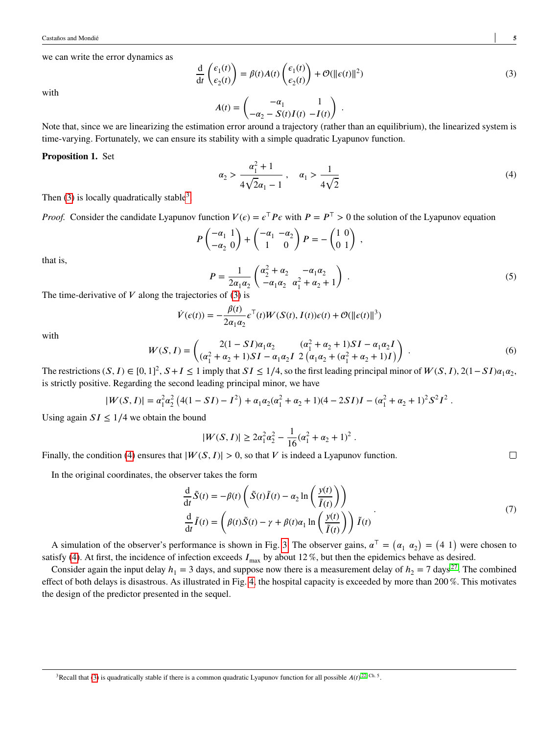we can write the error dynamics as

<span id="page-4-1"></span>
$$
\frac{d}{dt}\begin{pmatrix} \epsilon_1(t) \\ \epsilon_2(t) \end{pmatrix} = \beta(t)A(t)\begin{pmatrix} \epsilon_1(t) \\ \epsilon_2(t) \end{pmatrix} + \mathcal{O}(\|\epsilon(t)\|^2)
$$
\n(3)

with

$$
A(t) = \begin{pmatrix} -\alpha_1 & 1 \\ -\alpha_2 - S(t)I(t) & -I(t) \end{pmatrix} .
$$

Note that, since we are linearizing the estimation error around a trajectory (rather than an equilibrium), the linearized system is time-varying. Fortunately, we can ensure its stability with a simple quadratic Lyapunov function.

#### <span id="page-4-2"></span><span id="page-4-0"></span>**Proposition 1.** Set

$$
\alpha_2 > \frac{\alpha_1^2 + 1}{4\sqrt{2}\alpha_1 - 1}, \quad \alpha_1 > \frac{1}{4\sqrt{2}}
$$
 (4)

Then [\(3\)](#page-4-1) is locally quadratically stable<sup>[3](#page-0-0)</sup>.

*Proof.* Consider the candidate Lyapunov function  $V(\epsilon) = \epsilon^\top P \epsilon$  with  $P = P^\top > 0$  the solution of the Lyapunov equation

$$
\begin{pmatrix}\n-\alpha_1 & 1 \\
-\alpha_2 & 0\n\end{pmatrix} + \begin{pmatrix}\n-\alpha_1 & -\alpha_2 \\
1 & 0\n\end{pmatrix} P = -\begin{pmatrix}\n1 & 0 \\
0 & 1\n\end{pmatrix},
$$
\n
$$
P = \frac{1}{2\alpha_1\alpha_2} \begin{pmatrix}\n\alpha_2^2 + \alpha_2 & -\alpha_1\alpha_2 \\
-\alpha_1\alpha_2 & \alpha_1^2 + \alpha_2 + 1\n\end{pmatrix}.
$$
\n(5)

The time-derivative of  $V$  along the trajectories of  $(3)$  is

$$
\dot{V}(\epsilon(t)) = -\frac{\beta(t)}{2\alpha_1\alpha_2} \epsilon^{T}(t)W(S(t), I(t))\epsilon(t) + \mathcal{O}(\|\epsilon(t)\|^3)
$$

with

<span id="page-4-3"></span>that is,

$$
W(S, I) = \begin{pmatrix} 2(1 - SI)\alpha_1\alpha_2 & (\alpha_1^2 + \alpha_2 + 1)SI - \alpha_1\alpha_2I \\ (\alpha_1^2 + \alpha_2 + 1)SI - \alpha_1\alpha_2I & 2(\alpha_1\alpha_2 + (\alpha_1^2 + \alpha_2 + 1)I) \end{pmatrix} .
$$
 (6)

The restrictions  $(S, I) \in [0, 1]^2$ ,  $S + I \le 1$  imply that  $SI \le 1/4$ , so the first leading principal minor of  $W(S, I)$ , 2(1–*SI*) $\alpha_1 \alpha_2$ , is strictly positive. Regarding the second leading principal minor, we have

$$
|W(S,I)| = \alpha_1^2 \alpha_2^2 \left(4(1-SI) - I^2\right) + \alpha_1 \alpha_2 (\alpha_1^2 + \alpha_2 + 1)(4-2SI)I - (\alpha_1^2 + \alpha_2 + 1)^2 S^2 I^2.
$$

Using again  $SI \leq 1/4$  we obtain the bound

<span id="page-4-4"></span>
$$
|W(S, I)| \ge 2\alpha_1^2 \alpha_2^2 - \frac{1}{16} (\alpha_1^2 + \alpha_2 + 1)^2.
$$

Finally, the condition [\(4\)](#page-4-2) ensures that  $|W(S, I)| > 0$ , so that *V* is indeed a Lyapunov function.

 $\boldsymbol{p}$ 

In the original coordinates, the observer takes the form

$$
\frac{d}{dt}\tilde{S}(t) = -\beta(t)\left(\tilde{S}(t)\tilde{I}(t) - \alpha_2 \ln\left(\frac{y(t)}{\tilde{I}(t)}\right)\right)
$$
\n
$$
\frac{d}{dt}\tilde{I}(t) = \left(\beta(t)\tilde{S}(t) - \gamma + \beta(t)\alpha_1 \ln\left(\frac{y(t)}{\tilde{I}(t)}\right)\right)\tilde{I}(t)
$$
\n(7)

A simulation of the observer's performance is shown in Fig. [3.](#page-5-0) The observer gains,  $\alpha^{\dagger} = (\alpha_1 \ \alpha_2) = (4 \ 1)$  were chosen to satisfy [\(4\)](#page-4-2). At first, the incidence of infection exceeds  $I_{\text{max}}$  by about 12%, but then the epidemics behave as desired.

Consider again the input delay  $h_1 = 3$  days, and suppose now there is a measurement delay of  $h_2 = 7$  days<sup>[27](#page-14-9)</sup>. The combined effect of both delays is disastrous. As illustrated in Fig. [4,](#page-5-1) the hospital capacity is exceeded by more than 200 %. This motivates the design of the predictor presented in the sequel.

 $\Box$ 

<sup>&</sup>lt;sup>3</sup> Recall that [\(3\)](#page-4-1) is quadratically stable if there is a common quadratic Lyapunov function for all possible  $A(t)$ <sup>[22,](#page-14-4) Ch. 5</sup>.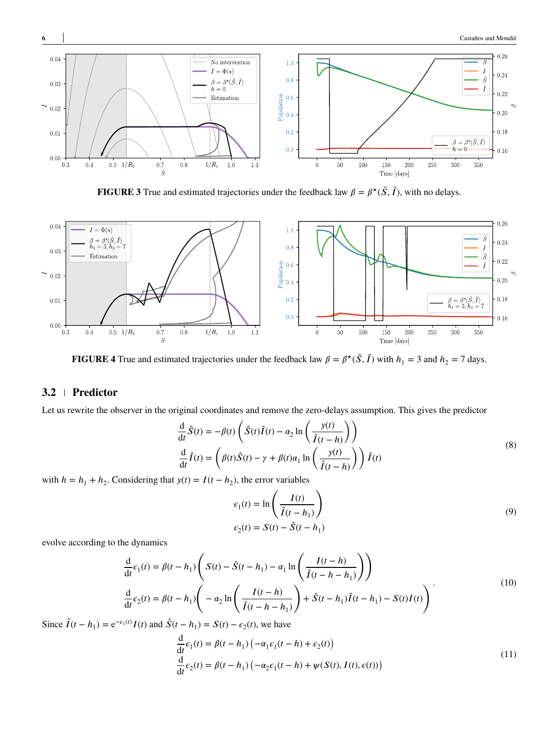<span id="page-5-0"></span>

**FIGURE 3** True and estimated trajectories under the feedback law  $\beta = \beta^*(\tilde{S}, \tilde{I})$ , with no delays.

<span id="page-5-1"></span>

**FIGURE 4** True and estimated trajectories under the feedback law  $\beta = \beta^*(\tilde{S}, \tilde{I})$  with  $h_1 = 3$  and  $h_2 = 7$  days.

## **3.2 Predictor**

Let us rewrite the observer in the original coordinates and remove the zero-delays assumption. This gives the predictor

$$
\frac{d}{dt}\hat{S}(t) = -\beta(t)\left(\hat{S}(t)\hat{I}(t) - \alpha_2 \ln\left(\frac{y(t)}{\hat{I}(t-h)}\right)\right)
$$
\n
$$
\frac{d}{dt}\hat{I}(t) = \left(\beta(t)\hat{S}(t) - \gamma + \beta(t)\alpha_1 \ln\left(\frac{y(t)}{\hat{I}(t-h)}\right)\right)\hat{I}(t)
$$
\n(8)

with  $h = h_1 + h_2$ . Considering that  $y(t) = I(t - h_2)$ , the error variables

<span id="page-5-4"></span>
$$
\epsilon_1(t) = \ln\left(\frac{I(t)}{\hat{I}(t - h_1)}\right)
$$
  
\n
$$
\epsilon_2(t) = S(t) - \hat{S}(t - h_1)
$$
\n(9)

evolve according to the dynamics

<span id="page-5-3"></span>
$$
\frac{d}{dt}\epsilon_1(t) = \beta(t - h_1) \left( S(t) - \hat{S}(t - h_1) - \alpha_1 \ln \left( \frac{I(t - h)}{\hat{I}(t - h - h_1)} \right) \right)
$$
\n
$$
\frac{d}{dt}\epsilon_2(t) = \beta(t - h_1) \left( -\alpha_2 \ln \left( \frac{I(t - h)}{\hat{I}(t - h - h_1)} \right) + \hat{S}(t - h_1) \hat{I}(t - h_1) - S(t)I(t) \right) \tag{10}
$$

Since  $\hat{I}(t - h_1) = e^{-\epsilon_1(t)} I(t)$  and  $\hat{S}(t - h_1) = S(t) - \epsilon_2(t)$ , we have

<span id="page-5-2"></span>
$$
\frac{d}{dt}\epsilon_1(t) = \beta(t - h_1) \left( -\alpha_1 \epsilon_1(t - h) + \epsilon_2(t) \right)
$$
\n
$$
\frac{d}{dt}\epsilon_2(t) = \beta(t - h_1) \left( -\alpha_2 \epsilon_1(t - h) + \psi(S(t), I(t), \epsilon(t)) \right)
$$
\n(11)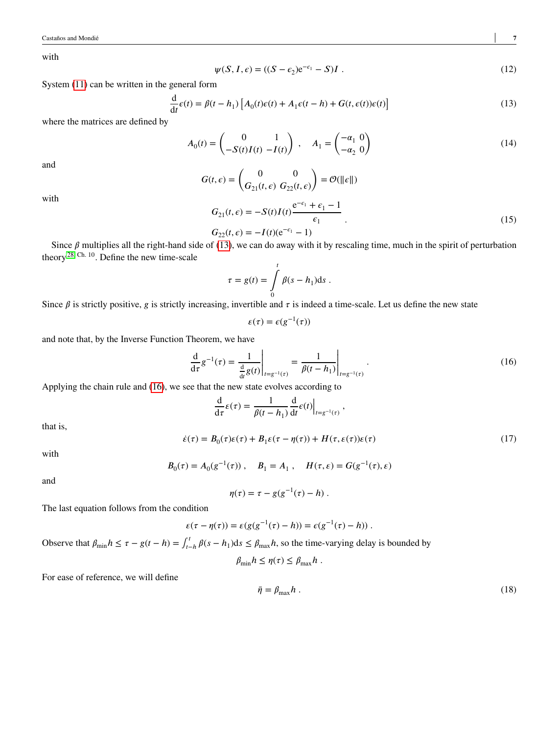with

<span id="page-6-0"></span>
$$
\psi(S, I, \epsilon) = ((S - \epsilon_2)e^{-\epsilon_1} - S)I. \tag{12}
$$

System [\(11\)](#page-5-2) can be written in the general form

<span id="page-6-4"></span>
$$
\frac{d}{dt}\epsilon(t) = \beta(t - h_1) \left[ A_0(t)\epsilon(t) + A_1 \epsilon(t - h) + G(t, \epsilon(t))\epsilon(t) \right]
$$
\n(13)

where the matrices are defined by

$$
A_0(t) = \begin{pmatrix} 0 & 1 \\ -S(t)I(t) & -I(t) \end{pmatrix}, \quad A_1 = \begin{pmatrix} -\alpha_1 & 0 \\ -\alpha_2 & 0 \end{pmatrix}
$$
 (14)

and

$$
G(t,\epsilon) = \begin{pmatrix} 0 & 0 \\ G_{21}(t,\epsilon) & G_{22}(t,\epsilon) \end{pmatrix} = \mathcal{O}(\|\epsilon\|)
$$

with

$$
G_{21}(t,\epsilon) = -S(t)I(t)\frac{e^{-\epsilon_1} + \epsilon_1 - 1}{\epsilon_1} \cdot \frac{\epsilon_1}{\epsilon_2}(t,\epsilon) = -I(t)(e^{-\epsilon_1} - 1)
$$
\n(15)

Since 
$$
\beta
$$
 multiplies all the right side (13), we can do away with it by rescaling time, much in the spirit of perturbation theory <sup>28, Ch. 10</sup>. Define the new time-scale

$$
\tau = g(t) = \int\limits_0^t \beta(s - h_1) \mathrm{d}s \; .
$$

Since  $\beta$  is strictly positive, g is strictly increasing, invertible and  $\tau$  is indeed a time-scale. Let us define the new state

<span id="page-6-1"></span>
$$
\varepsilon(\tau) = \varepsilon(g^{-1}(\tau))
$$

and note that, by the Inverse Function Theorem, we have

$$
\frac{d}{d\tau}g^{-1}(\tau) = \frac{1}{\frac{d}{dt}g(t)}\bigg|_{t=g^{-1}(\tau)} = \frac{1}{\beta(t-h_1)}\bigg|_{t=g^{-1}(\tau)}.
$$
\n(16)

Applying the chain rule and [\(16\)](#page-6-1), we see that the new state evolves according to

$$
\frac{\mathrm{d}}{\mathrm{d}\tau}\varepsilon(\tau) = \frac{1}{\beta(t-h_1)}\frac{\mathrm{d}}{\mathrm{d}t}\varepsilon(t)\Big|_{t=g^{-1}(\tau)},
$$

<span id="page-6-2"></span>that is,

$$
\dot{\varepsilon}(\tau) = B_0(\tau)\varepsilon(\tau) + B_1\varepsilon(\tau - \eta(\tau)) + H(\tau, \varepsilon(\tau))\varepsilon(\tau)
$$
\n(17)

with

$$
B_0(\tau) = A_0(g^{-1}(\tau)), \quad B_1 = A_1, \quad H(\tau, \varepsilon) = G(g^{-1}(\tau), \varepsilon)
$$

and

$$
\eta(\tau) = \tau - g(g^{-1}(\tau) - h) .
$$

The last equation follows from the condition

<span id="page-6-3"></span>
$$
\varepsilon(\tau - \eta(\tau)) = \varepsilon(g(g^{-1}(\tau) - h)) = \varepsilon(g^{-1}(\tau) - h)).
$$

Observe that  $\beta_{\min} h \leq \tau - g(t - h) = \int_{t}^{t}$  $\int_{t-h}^{t} \beta(s-h_1) ds \leq \beta_{\text{max}} h$ , so the time-varying delay is bounded by

$$
\beta_{\min} h \leq \eta(\tau) \leq \beta_{\max} h.
$$

For ease of reference, we will define

$$
\bar{\eta} = \beta_{\text{max}} h \tag{18}
$$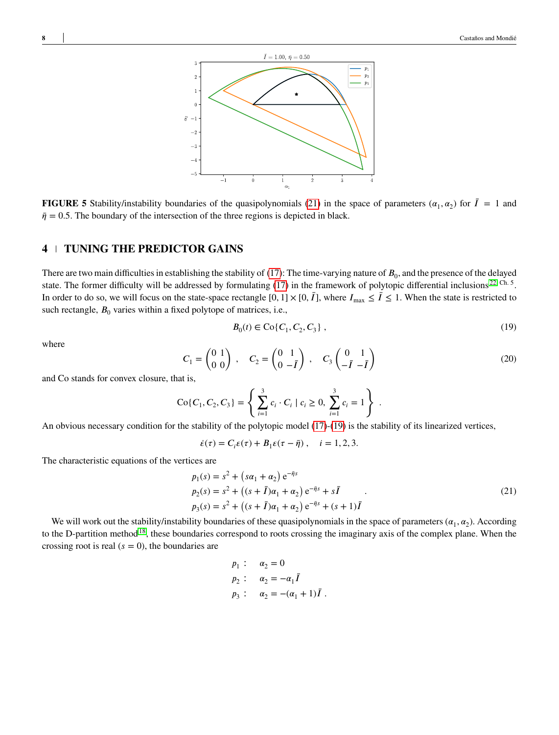

**FIGURE 5** Stability/instability boundaries of the quasipolynomials [\(21\)](#page-7-1) in the space of parameters ( $\alpha_1, \alpha_2$ ) for  $\bar{I} = 1$  and  $\bar{\eta} = 0.5$ . The boundary of the intersection of the three regions is depicted in black.

## <span id="page-7-0"></span>**4 TUNING THE PREDICTOR GAINS**

There are two main difficulties in establishing the stability of  $(17)$ : The time-varying nature of  $B_0$ , and the presence of the delayed state. The former difficulty will be addressed by formulating  $(17)$  in the framework of polytopic differential inclusions<sup>[22,](#page-14-4) Ch. 5</sup>. In order to do so, we will focus on the state-space rectangle  $[0, 1] \times [0, \bar{I}]$ , where  $I_{\text{max}} \leq \bar{I} \leq 1$ . When the state is restricted to such rectangle,  $B_0$  varies within a fixed polytope of matrices, i.e.,

<span id="page-7-2"></span>
$$
B_0(t) \in \text{Co}\{C_1, C_2, C_3\},\tag{19}
$$

<span id="page-7-4"></span>where

$$
C_1 = \begin{pmatrix} 0 & 1 \\ 0 & 0 \end{pmatrix} , C_2 = \begin{pmatrix} 0 & 1 \\ 0 & -\bar{I} \end{pmatrix} , C_3 \begin{pmatrix} 0 & 1 \\ -\bar{I} & -\bar{I} \end{pmatrix}
$$
 (20)

and Co stands for convex closure, that is,

$$
C \circ \{C_1, C_2, C_3\} = \left\{ \sum_{i=1}^3 c_i \cdot C_i \mid c_i \ge 0, \sum_{i=1}^3 c_i = 1 \right\} .
$$

An obvious necessary condition for the stability of the polytopic model [\(17\)](#page-6-2)-[\(19\)](#page-7-2) is the stability of its linearized vertices,

<span id="page-7-1"></span>
$$
\dot{\varepsilon}(\tau)=C_i\varepsilon(\tau)+B_1\varepsilon(\tau-\bar{\eta})\;,\quad i=1,2,3.
$$

The characteristic equations of the vertices are

$$
p_1(s) = s^2 + (s\alpha_1 + \alpha_2) e^{-\bar{\eta}s}
$$
  
\n
$$
p_2(s) = s^2 + ((s + \bar{I})\alpha_1 + \alpha_2) e^{-\bar{\eta}s} + s\bar{I}
$$
  
\n
$$
p_3(s) = s^2 + ((s + \bar{I})\alpha_1 + \alpha_2) e^{-\bar{\eta}s} + (s + 1)\bar{I}
$$
\n(21)

We will work out the stability/instability boundaries of these quasipolynomials in the space of parameters  $(\alpha_1, \alpha_2)$ . According to the D-partition method<sup>[18](#page-14-0)</sup>, these boundaries correspond to roots crossing the imaginary axis of the complex plane. When the crossing root is real  $(s = 0)$ , the boundaries are

$$
p_1
$$
:  $\alpha_2 = 0$   
\n $p_2$ :  $\alpha_2 = -\alpha_1 \bar{I}$   
\n $p_3$ :  $\alpha_2 = -(\alpha_1 + 1)\bar{I}$ .

<span id="page-7-3"></span>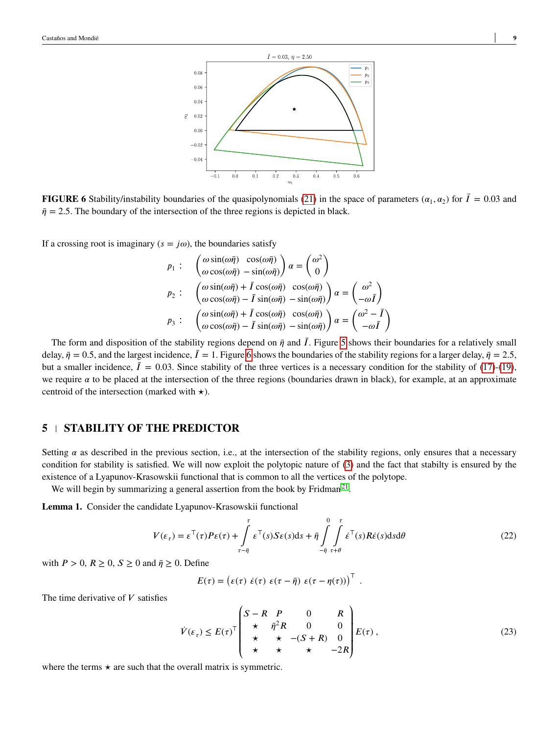<span id="page-8-1"></span>

**FIGURE 6** Stability/instability boundaries of the quasipolynomials [\(21\)](#page-7-1) in the space of parameters ( $\alpha_1, \alpha_2$ ) for  $\bar{I} = 0.03$  and  $\bar{\eta}$  = 2.5. The boundary of the intersection of the three regions is depicted in black.

If a crossing root is imaginary ( $s = j\omega$ ), the boundaries satisfy

$$
p_1: \begin{pmatrix} \omega \sin(\omega \bar{\eta}) & \cos(\omega \bar{\eta}) \\ \omega \cos(\omega \bar{\eta}) & -\sin(\omega \bar{\eta}) \end{pmatrix} \alpha = \begin{pmatrix} \omega^2 \\ 0 \end{pmatrix}
$$
  
\n
$$
p_2: \begin{pmatrix} \omega \sin(\omega \bar{\eta}) + \bar{I} \cos(\omega \bar{\eta}) & \cos(\omega \bar{\eta}) \\ \omega \cos(\omega \bar{\eta}) - \bar{I} \sin(\omega \bar{\eta}) & -\sin(\omega \bar{\eta}) \end{pmatrix} \alpha = \begin{pmatrix} \omega^2 \\ -\omega \bar{I} \end{pmatrix}
$$
  
\n
$$
p_3: \begin{pmatrix} \omega \sin(\omega \bar{\eta}) + \bar{I} \cos(\omega \bar{\eta}) & \cos(\omega \bar{\eta}) \\ \omega \cos(\omega \bar{\eta}) - \bar{I} \sin(\omega \bar{\eta}) & -\sin(\omega \bar{\eta}) \end{pmatrix} \alpha = \begin{pmatrix} \omega^2 - \bar{I} \\ -\omega \bar{I} \end{pmatrix}
$$

The form and disposition of the stability regions depend on  $\bar{\eta}$  and  $\bar{I}$ . Figure [5](#page-7-3) shows their boundaries for a relatively small delay,  $\bar{\eta} = 0.5$ , and the largest incidence,  $\bar{I} = 1$ . Figure [6](#page-8-1) shows the boundaries of the stability regions for a larger delay,  $\bar{\eta} = 2.5$ , but a smaller incidence,  $\bar{I} = 0.03$ . Since stability of the three vertices is a necessary condition for the stability of [\(17\)](#page-6-2)-[\(19\)](#page-7-2), we require  $\alpha$  to be placed at the intersection of the three regions (boundaries drawn in black), for example, at an approximate centroid of the intersection (marked with *⋆*).

## <span id="page-8-0"></span>**5 STABILITY OF THE PREDICTOR**

Setting  $\alpha$  as described in the previous section, i.e., at the intersection of the stability regions, only ensures that a necessary condition for stability is satisfied. We will now exploit the polytopic nature of [\(3\)](#page-4-1) and the fact that stabilty is ensured by the existence of a Lyapunov-Krasowskii functional that is common to all the vertices of the polytope.

We will begin by summarizing a general assertion from the book by Fridman<sup>[21](#page-14-3)</sup>.

**Lemma 1.** Consider the candidate Lyapunov-Krasowskii functional

$$
V(\varepsilon_{\tau}) = \varepsilon^{\top}(\tau)P\varepsilon(\tau) + \int_{\tau-\bar{\eta}}^{\tau} \varepsilon^{\top}(s)S\varepsilon(s)ds + \bar{\eta} \int_{-\bar{\eta}}^{0} \int_{\tau+\theta}^{\tau} \dot{\varepsilon}^{\top}(s)R\dot{\varepsilon}(s)dsd\theta
$$
\n(22)

with  $P > 0$ ,  $R \ge 0$ ,  $S \ge 0$  and  $\bar{\eta} \ge 0$ . Define

$$
E(\tau)=\begin{pmatrix}\varepsilon(\tau)&\dot{\varepsilon}(\tau)&\varepsilon(\tau-\bar{\eta})&\varepsilon(\tau-\eta(\tau))\end{pmatrix}^\top
$$

The time derivative of  $V$  satisfies

<span id="page-8-3"></span>
$$
\dot{V}(\varepsilon_{\tau}) \le E(\tau)^{\top} \begin{pmatrix} S-R & P & 0 & R \\ \star & \bar{\eta}^{2}R & 0 & 0 \\ \star & \star & -(S+R) & 0 \\ \star & \star & \star & -2R \end{pmatrix} E(\tau) \,, \tag{23}
$$

<span id="page-8-2"></span>*.*

where the terms  $\star$  are such that the overall matrix is symmetric.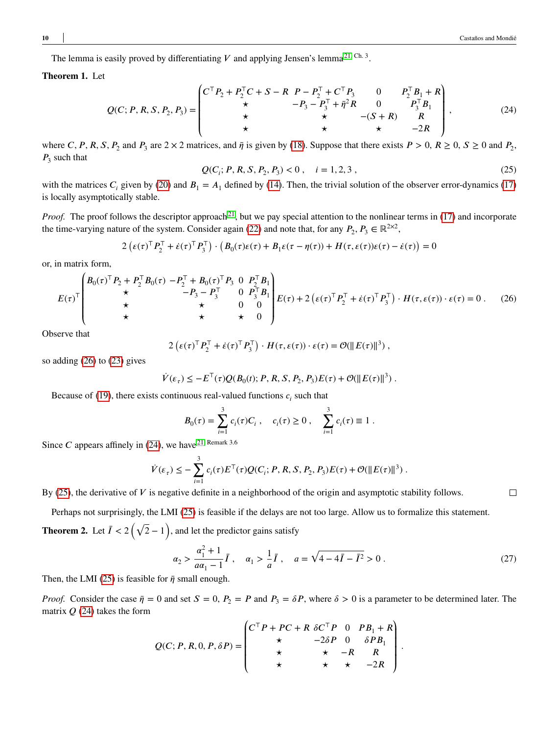The lemma is easily proved by differentiating  $V$  and applying Jensen's lemma<sup>[21,](#page-14-3) Ch. 3</sup>.

#### <span id="page-9-4"></span>**Theorem 1.** Let

<span id="page-9-1"></span>
$$
Q(C; P, R, S, P_2, P_3) = \begin{pmatrix} C^{\top} P_2 + P_2^{\top} C + S - R & P - P_2^{\top} + C^{\top} P_3 & 0 & P_2^{\top} B_1 + R \\ \star & -P_3 - P_3^{\top} + \bar{\eta}^2 R & 0 & P_3^{\top} B_1 \\ \star & \star & \star & -(S + R) & R \\ \star & \star & \star & -2R \end{pmatrix},
$$
(24)

<span id="page-9-2"></span>where *C*, *P*, *R*, *S*, *P*<sub>2</sub> and *P*<sub>3</sub> are 2 × 2 matrices, and  $\bar{\eta}$  is given by [\(18\)](#page-6-3). Suppose that there exists  $P > 0$ ,  $R \ge 0$ ,  $S \ge 0$  and  $P_2$ ,  $P_3$  such that

$$
Q(C_i; P, R, S, P_2, P_3) < 0 \,, \quad i = 1, 2, 3 \,, \tag{25}
$$

with the matrices  $C_i$  given by [\(20\)](#page-7-4) and  $B_1 = A_1$  defined by [\(14\)](#page-6-4). Then, the trivial solution of the observer error-dynamics [\(17\)](#page-6-2) is locally asymptotically stable.

*Proof.* The proof follows the descriptor approach<sup>[21](#page-14-3)</sup>, but we pay special attention to the nonlinear terms in [\(17\)](#page-6-2) and incorporate the time-varying nature of the system. Consider again [\(22\)](#page-8-2) and note that, for any  $P_2, P_3 \in \mathbb{R}^{2 \times 2}$ ,

<span id="page-9-0"></span>
$$
2\left(\varepsilon(\tau)^{\top} P_2^{\top} + \dot{\varepsilon}(\tau)^{\top} P_3^{\top}\right) \cdot \left(B_0(\tau)\varepsilon(\tau) + B_1\varepsilon(\tau - \eta(\tau)) + H(\tau, \varepsilon(\tau))\varepsilon(\tau) - \dot{\varepsilon}(\tau)\right) = 0
$$

or, in matrix form,

$$
E(\tau)^{\top} \begin{pmatrix} B_0(\tau)^{\top} P_2 + P_2^{\top} B_0(\tau) - P_2^{\top} + B_0(\tau)^{\top} P_3 & 0 & P_2^{\top} B_1 \\ \star & -P_3 - P_3^{\top} & 0 & P_3^{\top} B_1 \\ \star & \star & 0 & 0 \\ \star & \star & \star & 0 \end{pmatrix} E(\tau) + 2 (\epsilon(\tau)^{\top} P_2^{\top} + \dot{\epsilon}(\tau)^{\top} P_3^{\top}) \cdot H(\tau, \epsilon(\tau)) \cdot \epsilon(\tau) = 0. \quad (26)
$$

Observe that

$$
2\left(\varepsilon(\tau)^{\top} P_2^{\top} + \dot{\varepsilon}(\tau)^{\top} P_3^{\top}\right) \cdot H(\tau, \varepsilon(\tau)) \cdot \varepsilon(\tau) = \mathcal{O}(\Vert E(\tau) \Vert^3) ,
$$

so adding [\(26\)](#page-9-0) to [\(23\)](#page-8-3) gives

$$
\dot{V}(\varepsilon_{\tau}) \le -E^{\top}(\tau)Q(B_0(t); P, R, S, P_2, P_3)E(\tau) + \mathcal{O}(\Vert E(\tau) \Vert^3) .
$$

Because of [\(19\)](#page-7-2), there exists continuous real-valued functions  $c_i$  such that

$$
B_0(\tau) = \sum_{i=1}^3 c_i(\tau) C_i , \quad c_i(\tau) \ge 0 , \quad \sum_{i=1}^3 c_i(\tau) \equiv 1 .
$$

Since *C* appears affinely in [\(24\)](#page-9-1), we have <sup>[21,](#page-14-3) Remark 3.6</sup>

$$
\dot{V}(\varepsilon_{\tau}) \leq -\sum_{i=1}^{3} c_i(\tau) E^{\top}(\tau) Q(C_i; P, R, S, P_2, P_3) E(\tau) + \mathcal{O}(\Vert E(\tau) \Vert^3) .
$$

By [\(25\)](#page-9-2), the derivative of *V* is negative definite in a neighborhood of the origin and asymptotic stability follows.

Perhaps not surprisingly, the LMI [\(25\)](#page-9-2) is feasible if the delays are not too large. Allow us to formalize this statement.

**Theorem 2.** Let  $\overline{I} < 2(\sqrt{2}-1)$ , and let the predictor gains satisfy

<span id="page-9-3"></span>
$$
\alpha_2 > \frac{\alpha_1^2 + 1}{a\alpha_1 - 1}\bar{I}, \quad \alpha_1 > \frac{1}{a}\bar{I}, \quad a = \sqrt{4 - 4\bar{I} - \bar{I}^2} > 0.
$$
 (27)

Then, the LMI [\(25\)](#page-9-2) is feasible for  $\bar{\eta}$  small enough.

*Proof.* Consider the case  $\bar{\eta} = 0$  and set  $S = 0$ ,  $P_2 = P$  and  $P_3 = \delta P$ , where  $\delta > 0$  is a parameter to be determined later. The matrix  $Q(24)$  $Q(24)$  takes the form

$$
Q(C; P, R, 0, P, \delta P) = \begin{pmatrix} C^{\top} P + P C + R & \delta C^{\top} P & 0 & P B_1 + R \\ \star & -2 \delta P & 0 & \delta P B_1 \\ \star & \star & -R & R \\ \star & \star & \star & -2R \end{pmatrix}.
$$

 $\Box$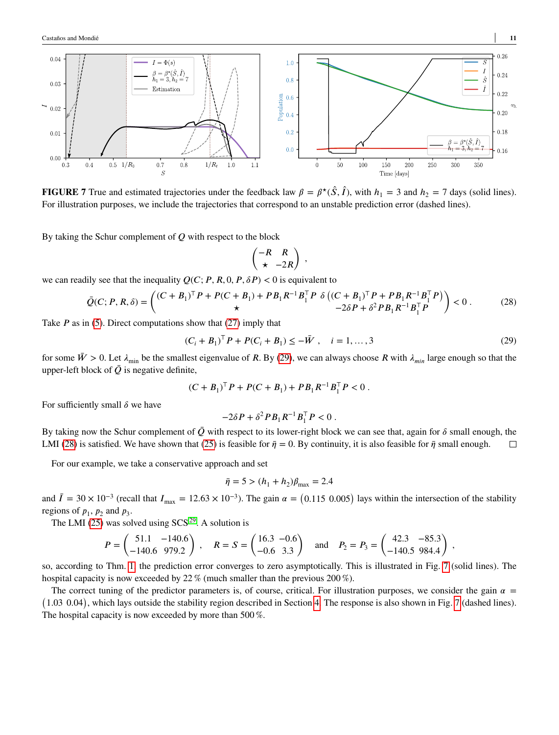<span id="page-10-2"></span>

**FIGURE 7** True and estimated trajectories under the feedback law  $\beta = \beta^*(\hat{S}, \hat{I})$ , with  $h_1 = 3$  and  $h_2 = 7$  days (solid lines). For illustration purposes, we include the trajectories that correspond to an unstable prediction error (dashed lines).

By taking the Schur complement of *Q* with respect to the block

<span id="page-10-1"></span><span id="page-10-0"></span>
$$
\begin{pmatrix} -R & R \\ \star & -2R \end{pmatrix} ,
$$

we can readily see that the inequality  $Q(C; P, R, 0, P, \delta P) < 0$  is equivalent to

$$
\bar{Q}(C; P, R, \delta) = \begin{pmatrix} (C + B_1)^{\top} P + P(C + B_1) + P B_1 R^{-1} B_1^{\top} P & \delta \left( (C + B_1)^{\top} P + P B_1 R^{-1} B_1^{\top} P \right) \\ \star & -2 \delta P + \delta^2 P B_1 R^{-1} B_1^{\top} P \end{pmatrix} < 0. \tag{28}
$$

Take *P* as in [\(5\)](#page-4-3). Direct computations show that [\(27\)](#page-9-3) imply that

$$
(C_i + B_1)^{\top} P + P(C_i + B_1) \leq -\bar{W}, \quad i = 1, ..., 3
$$
 (29)

for some  $\bar{W} > 0$ . Let  $\lambda_{\text{min}}$  be the smallest eigenvalue of *R*. By [\(29\)](#page-10-0), we can always choose *R* with  $\lambda_{\text{min}}$  large enough so that the upper-left block of  $\overline{Q}$  is negative definite,

$$
(C + B_1)^T P + P(C + B_1) + P B_1 R^{-1} B_1^T P < 0.
$$

For sufficiently small  $\delta$  we have

$$
-2\delta P + \delta^2 P B_1 R^{-1} B_1^\top P < 0 \; .
$$

By taking now the Schur complement of  $\bar{Q}$  with respect to its lower-right block we can see that, again for  $\delta$  small enough, the LMI [\(28\)](#page-10-1) is satisfied. We have shown that [\(25\)](#page-9-2) is feasible for  $\bar{\eta} = 0$ . By continuity, it is also feasible for  $\bar{\eta}$  small enough.  $\Box$ 

For our example, we take a conservative approach and set

$$
\bar{\eta} = 5 > (h_1 + h_2)\beta_{\text{max}} = 2.4
$$

and  $\bar{I} = 30 \times 10^{-3}$  (recall that  $I_{\text{max}} = 12.63 \times 10^{-3}$ ). The gain  $\alpha = (0.115 \ 0.005)$  lays within the intersection of the stability regions of  $p_1$ ,  $p_2$  and  $p_3$ .

The LMI [\(25\)](#page-9-2) was solved using  $SCS^{29}$  $SCS^{29}$  $SCS^{29}$ . A solution is

$$
P = \begin{pmatrix} 51.1 & -140.6 \\ -140.6 & 979.2 \end{pmatrix}, \quad R = S = \begin{pmatrix} 16.3 & -0.6 \\ -0.6 & 3.3 \end{pmatrix} \quad \text{and} \quad P_2 = P_3 = \begin{pmatrix} 42.3 & -85.3 \\ -140.5 & 984.4 \end{pmatrix},
$$

so, according to Thm. [1,](#page-9-4) the prediction error converges to zero asymptotically. This is illustrated in Fig. [7](#page-10-2) (solid lines). The hospital capacity is now exceeded by 22 % (much smaller than the previous 200 %).

The correct tuning of the predictor parameters is, of course, critical. For illustration purposes, we consider the gain  $\alpha =$ 1.03 0.04), which lays outside the stability region described in Section [4.](#page-7-0) The response is also shown in Fig. [7](#page-10-2) (dashed lines). The hospital capacity is now exceeded by more than 500 %.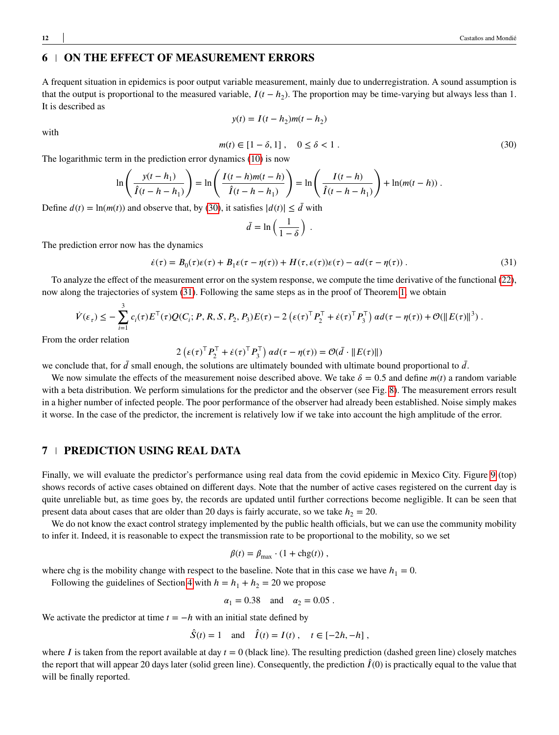## <span id="page-11-0"></span>**6 ON THE EFFECT OF MEASUREMENT ERRORS**

A frequent situation in epidemics is poor output variable measurement, mainly due to underregistration. A sound assumption is that the output is proportional to the measured variable,  $I(t - h_2)$ . The proportion may be time-varying but always less than 1. It is described as

$$
y(t) = I(t - h_2)m(t - h_2)
$$

<span id="page-11-2"></span>with

$$
m(t) \in [1 - \delta, 1], \quad 0 \le \delta < 1. \tag{30}
$$

The logarithmic term in the prediction error dynamics [\(10\)](#page-5-3) is now

$$
\ln\left(\frac{y(t-h_1)}{\hat{I}(t-h-h_1)}\right)=\ln\left(\frac{I(t-h)m(t-h)}{\hat{I}(t-h-h_1)}\right)=\ln\left(\frac{I(t-h)}{\hat{I}(t-h-h_1)}\right)+\ln(m(t-h))\;.
$$

Define  $d(t) = \ln(m(t))$  and observe that, by [\(30\)](#page-11-2), it satisfies  $|d(t)| \leq d$  with

<span id="page-11-3"></span>
$$
\bar{d} = \ln\left(\frac{1}{1-\delta}\right) \; .
$$

The prediction error now has the dynamics

$$
\dot{\varepsilon}(\tau) = B_0(\tau)\varepsilon(\tau) + B_1\varepsilon(\tau - \eta(\tau)) + H(\tau, \varepsilon(\tau))\varepsilon(\tau) - \alpha d(\tau - \eta(\tau))\,. \tag{31}
$$

To analyze the effect of the measurement error on the system response, we compute the time derivative of the functional [\(22\)](#page-8-2), now along the trajectories of system [\(31\)](#page-11-3). Following the same steps as in the proof of Theorem [1,](#page-9-4) we obtain

$$
\dot{V}(\varepsilon_{\tau}) \leq -\sum_{i=1}^{3} c_i(\tau) E^{\top}(\tau) Q(C_i; P, R, S, P_2, P_3) E(\tau) - 2 \left( \varepsilon(\tau)^{\top} P_2^{\top} + \dot{\varepsilon}(\tau)^{\top} P_3^{\top} \right) \alpha d(\tau - \eta(\tau)) + \mathcal{O}(\|E(\tau)\|^3) .
$$

From the order relation

$$
2\left(\varepsilon(\tau)^{\top} P_2^{\top} + \dot{\varepsilon}(\tau)^{\top} P_3^{\top}\right) \alpha d(\tau - \eta(\tau)) = \mathcal{O}(\bar{d} \cdot ||E(\tau)||)
$$

we conclude that, for  $\bar{d}$  small enough, the solutions are ultimately bounded with ultimate bound proportional to  $\bar{d}$ .

We now simulate the effects of the measurement noise described above. We take  $\delta = 0.5$  and define  $m(t)$  a random variable with a beta distribution. We perform simulations for the predictor and the observer (see Fig. [8\)](#page-12-0). The measurement errors result in a higher number of infected people. The poor performance of the observer had already been established. Noise simply makes it worse. In the case of the predictor, the increment is relatively low if we take into account the high amplitude of the error.

#### <span id="page-11-1"></span>**7 PREDICTION USING REAL DATA**

Finally, we will evaluate the predictor's performance using real data from the covid epidemic in Mexico City. Figure [9](#page-12-1) (top) shows records of active cases obtained on different days. Note that the number of active cases registered on the current day is quite unreliable but, as time goes by, the records are updated until further corrections become negligible. It can be seen that present data about cases that are older than 20 days is fairly accurate, so we take  $h_2 = 20$ .

We do not know the exact control strategy implemented by the public health officials, but we can use the community mobility to infer it. Indeed, it is reasonable to expect the transmission rate to be proportional to the mobility, so we set

$$
\beta(t) = \beta_{\text{max}} \cdot (1 + \text{chg}(t)),
$$

where chg is the mobility change with respect to the baseline. Note that in this case we have  $h_1 = 0$ .

Following the guidelines of Section [4](#page-7-0) with  $h = h_1 + h_2 = 20$  we propose

$$
\alpha_1 = 0.38 \quad \text{and} \quad \alpha_2 = 0.05 \ .
$$

We activate the predictor at time  $t = -h$  with an initial state defined by

 $\hat{S}(t) = 1$  and  $\hat{I}(t) = I(t)$ ,  $t \in [-2h, -h]$ ,

where  $I$  is taken from the report available at day  $t = 0$  (black line). The resulting prediction (dashed green line) closely matches the report that will appear 20 days later (solid green line). Consequently, the prediction  $\hat{I}(0)$  is practically equal to the value that will be finally reported.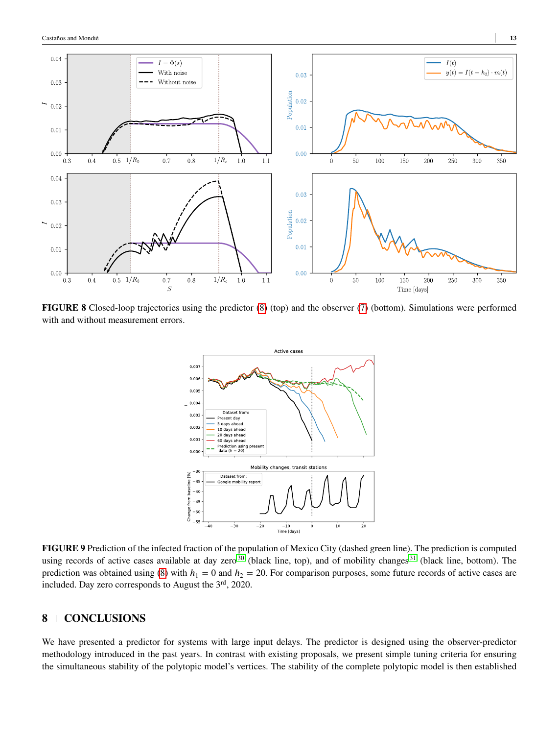<span id="page-12-0"></span>

<span id="page-12-1"></span>**FIGURE 8** Closed-loop trajectories using the predictor [\(8\)](#page-5-4) (top) and the observer [\(7\)](#page-4-4) (bottom). Simulations were performed with and without measurement errors.



**FIGURE 9** Prediction of the infected fraction of the population of Mexico City (dashed green line). The prediction is computed using records of active cases available at day zero<sup>[30](#page-14-12)</sup> (black line, top), and of mobility changes<sup>[31](#page-14-13)</sup> (black line, bottom). The prediction was obtained using [\(8\)](#page-5-4) with  $h_1 = 0$  and  $h_2 = 20$ . For comparison purposes, some future records of active cases are included. Day zero corresponds to August the  $3<sup>rd</sup>$ , 2020.

## **8 CONCLUSIONS**

We have presented a predictor for systems with large input delays. The predictor is designed using the observer-predictor methodology introduced in the past years. In contrast with existing proposals, we present simple tuning criteria for ensuring the simultaneous stability of the polytopic model's vertices. The stability of the complete polytopic model is then established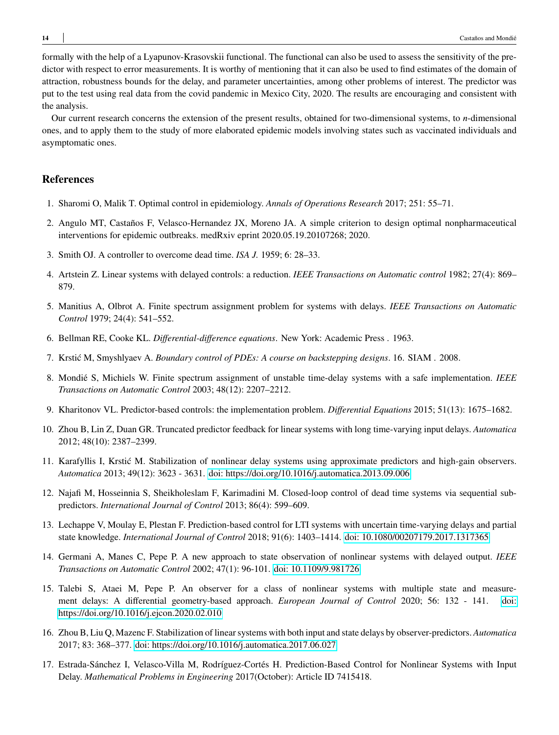formally with the help of a Lyapunov-Krasovskii functional. The functional can also be used to assess the sensitivity of the predictor with respect to error measurements. It is worthy of mentioning that it can also be used to find estimates of the domain of attraction, robustness bounds for the delay, and parameter uncertainties, among other problems of interest. The predictor was put to the test using real data from the covid pandemic in Mexico City, 2020. The results are encouraging and consistent with the analysis.

Our current research concerns the extension of the present results, obtained for two-dimensional systems, to *n*-dimensional ones, and to apply them to the study of more elaborated epidemic models involving states such as vaccinated individuals and asymptomatic ones.

## **References**

- <span id="page-13-0"></span>1. Sharomi O, Malik T. Optimal control in epidemiology. *Annals of Operations Research* 2017; 251: 55–71.
- <span id="page-13-1"></span>2. Angulo MT, Castaños F, Velasco-Hernandez JX, Moreno JA. A simple criterion to design optimal nonpharmaceutical interventions for epidemic outbreaks. medRxiv eprint 2020.05.19.20107268; 2020.
- <span id="page-13-2"></span>3. Smith OJ. A controller to overcome dead time. *ISA J.* 1959; 6: 28–33.
- <span id="page-13-3"></span>4. Artstein Z. Linear systems with delayed controls: a reduction. *IEEE Transactions on Automatic control* 1982; 27(4): 869– 879.
- <span id="page-13-4"></span>5. Manitius A, Olbrot A. Finite spectrum assignment problem for systems with delays. *IEEE Transactions on Automatic Control* 1979; 24(4): 541–552.
- <span id="page-13-5"></span>6. Bellman RE, Cooke KL. *Differential-difference equations*. New York: Academic Press . 1963.
- <span id="page-13-6"></span>7. Krstić M, Smyshlyaev A. *Boundary control of PDEs: A course on backstepping designs*. 16. SIAM . 2008.
- <span id="page-13-7"></span>8. Mondié S, Michiels W. Finite spectrum assignment of unstable time-delay systems with a safe implementation. *IEEE Transactions on Automatic Control* 2003; 48(12): 2207–2212.
- <span id="page-13-8"></span>9. Kharitonov VL. Predictor-based controls: the implementation problem. *Differential Equations* 2015; 51(13): 1675–1682.
- <span id="page-13-9"></span>10. Zhou B, Lin Z, Duan GR. Truncated predictor feedback for linear systems with long time-varying input delays. *Automatica* 2012; 48(10): 2387–2399.
- <span id="page-13-10"></span>11. Karafyllis I, Krstić M. Stabilization of nonlinear delay systems using approximate predictors and high-gain observers. *Automatica* 2013; 49(12): 3623 - 3631. [doi: https://doi.org/10.1016/j.automatica.2013.09.006](http://dx.doi.org/https://doi.org/10.1016/j.automatica.2013.09.006)
- <span id="page-13-11"></span>12. Najafi M, Hosseinnia S, Sheikholeslam F, Karimadini M. Closed-loop control of dead time systems via sequential subpredictors. *International Journal of Control* 2013; 86(4): 599–609.
- <span id="page-13-12"></span>13. Lechappe V, Moulay E, Plestan F. Prediction-based control for LTI systems with uncertain time-varying delays and partial state knowledge. *International Journal of Control* 2018; 91(6): 1403–1414. [doi: 10.1080/00207179.2017.1317365](http://dx.doi.org/10.1080/00207179.2017.1317365)
- <span id="page-13-13"></span>14. Germani A, Manes C, Pepe P. A new approach to state observation of nonlinear systems with delayed output. *IEEE Transactions on Automatic Control* 2002; 47(1): 96-101. [doi: 10.1109/9.981726](http://dx.doi.org/10.1109/9.981726)
- <span id="page-13-14"></span>15. Talebi S, Ataei M, Pepe P. An observer for a class of nonlinear systems with multiple state and measurement delays: A differential geometry-based approach. *European Journal of Control* 2020; 56: 132 - 141. [doi:](http://dx.doi.org/https://doi.org/10.1016/j.ejcon.2020.02.010) [https://doi.org/10.1016/j.ejcon.2020.02.010](http://dx.doi.org/https://doi.org/10.1016/j.ejcon.2020.02.010)
- <span id="page-13-15"></span>16. Zhou B, Liu Q, Mazenc F. Stabilization of linear systems with both input and state delays by observer-predictors. *Automatica* 2017; 83: 368–377. [doi: https://doi.org/10.1016/j.automatica.2017.06.027](http://dx.doi.org/https://doi.org/10.1016/j.automatica.2017.06.027)
- <span id="page-13-16"></span>17. Estrada-Sánchez I, Velasco-Villa M, Rodríguez-Cortés H. Prediction-Based Control for Nonlinear Systems with Input Delay. *Mathematical Problems in Engineering* 2017(October): Article ID 7415418.